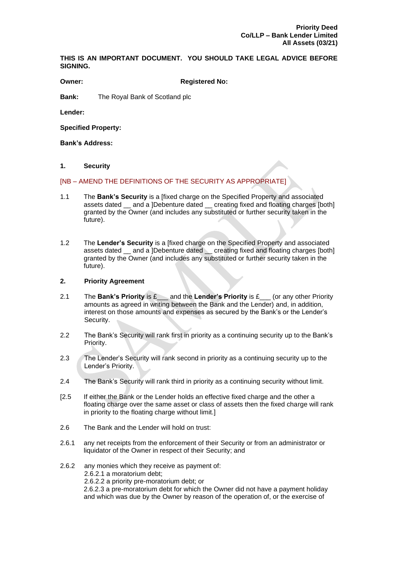**THIS IS AN IMPORTANT DOCUMENT. YOU SHOULD TAKE LEGAL ADVICE BEFORE SIGNING.**

**Owner: Registered No:**

**Bank:** The Royal Bank of Scotland plc

**Lender:**

**Specified Property:**

**Bank's Address:**

## **1. Security**

## [NB – AMEND THE DEFINITIONS OF THE SECURITY AS APPROPRIATE]

- 1.1 The **Bank's Security** is a [fixed charge on the Specified Property and associated assets dated and a ]Debenture dated creating fixed and floating charges [both] granted by the Owner (and includes any substituted or further security taken in the future).
- 1.2 The **Lender's Security** is a [fixed charge on the Specified Property and associated assets dated and a ]Debenture dated creating fixed and floating charges [both] granted by the Owner (and includes any substituted or further security taken in the future).

# **2. Priority Agreement**

- 2.1 The **Bank's Priority** is £\_\_\_ and the **Lender's Priority** is £\_\_\_ (or any other Priority amounts as agreed in writing between the Bank and the Lender) and, in addition, interest on those amounts and expenses as secured by the Bank's or the Lender's Security.
- 2.2 The Bank's Security will rank first in priority as a continuing security up to the Bank's Priority.
- 2.3 The Lender's Security will rank second in priority as a continuing security up to the Lender's Priority.
- 2.4 The Bank's Security will rank third in priority as a continuing security without limit.
- [2.5 If either the Bank or the Lender holds an effective fixed charge and the other a floating charge over the same asset or class of assets then the fixed charge will rank in priority to the floating charge without limit.]
- 2.6 The Bank and the Lender will hold on trust:
- 2.6.1 any net receipts from the enforcement of their Security or from an administrator or liquidator of the Owner in respect of their Security; and
- 2.6.2 any monies which they receive as payment of: 2.6.2.1 a moratorium debt; 2.6.2.2 a priority pre-moratorium debt; or 2.6.2.3 a pre-moratorium debt for which the Owner did not have a payment holiday and which was due by the Owner by reason of the operation of, or the exercise of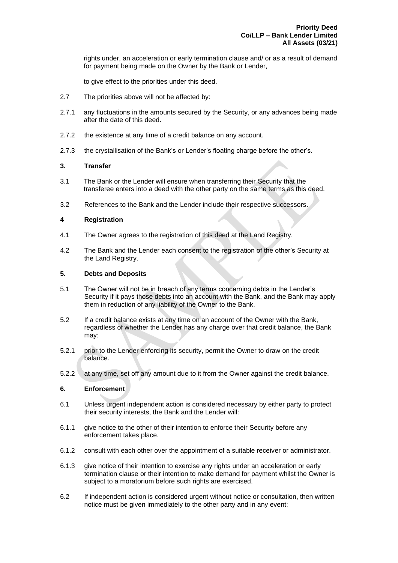rights under, an acceleration or early termination clause and/ or as a result of demand for payment being made on the Owner by the Bank or Lender,

to give effect to the priorities under this deed.

- 2.7 The priorities above will not be affected by:
- 2.7.1 any fluctuations in the amounts secured by the Security, or any advances being made after the date of this deed.
- 2.7.2 the existence at any time of a credit balance on any account.
- 2.7.3 the crystallisation of the Bank's or Lender's floating charge before the other's.

# **3. Transfer**

- 3.1 The Bank or the Lender will ensure when transferring their Security that the transferee enters into a deed with the other party on the same terms as this deed.
- 3.2 References to the Bank and the Lender include their respective successors.

## **4 Registration**

- 4.1 The Owner agrees to the registration of this deed at the Land Registry.
- 4.2 The Bank and the Lender each consent to the registration of the other's Security at the Land Registry.

## **5. Debts and Deposits**

- 5.1 The Owner will not be in breach of any terms concerning debts in the Lender's Security if it pays those debts into an account with the Bank, and the Bank may apply them in reduction of any liability of the Owner to the Bank.
- 5.2 If a credit balance exists at any time on an account of the Owner with the Bank, regardless of whether the Lender has any charge over that credit balance, the Bank may:
- 5.2.1 prior to the Lender enforcing its security, permit the Owner to draw on the credit balance.
- 5.2.2 at any time, set off any amount due to it from the Owner against the credit balance.

#### **6. Enforcement**

- 6.1 Unless urgent independent action is considered necessary by either party to protect their security interests, the Bank and the Lender will:
- 6.1.1 give notice to the other of their intention to enforce their Security before any enforcement takes place.
- 6.1.2 consult with each other over the appointment of a suitable receiver or administrator.
- 6.1.3 give notice of their intention to exercise any rights under an acceleration or early termination clause or their intention to make demand for payment whilst the Owner is subject to a moratorium before such rights are exercised.
- 6.2 If independent action is considered urgent without notice or consultation, then written notice must be given immediately to the other party and in any event: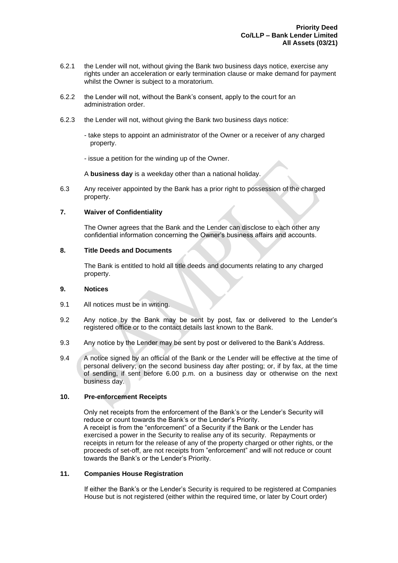- 6.2.1 the Lender will not, without giving the Bank two business days notice, exercise any rights under an acceleration or early termination clause or make demand for payment whilst the Owner is subject to a moratorium.
- 6.2.2 the Lender will not, without the Bank's consent, apply to the court for an administration order.
- 6.2.3 the Lender will not, without giving the Bank two business days notice:
	- take steps to appoint an administrator of the Owner or a receiver of any charged property.
	- issue a petition for the winding up of the Owner.

A **business day** is a weekday other than a national holiday.

6.3 Any receiver appointed by the Bank has a prior right to possession of the charged property.

## **7. Waiver of Confidentiality**

The Owner agrees that the Bank and the Lender can disclose to each other any confidential information concerning the Owner's business affairs and accounts.

#### **8. Title Deeds and Documents**

The Bank is entitled to hold all title deeds and documents relating to any charged property.

#### **9. Notices**

- 9.1 All notices must be in writing.
- 9.2 Any notice by the Bank may be sent by post, fax or delivered to the Lender's registered office or to the contact details last known to the Bank.
- 9.3 Any notice by the Lender may be sent by post or delivered to the Bank's Address.
- 9.4 A notice signed by an official of the Bank or the Lender will be effective at the time of personal delivery; on the second business day after posting; or, if by fax, at the time of sending, if sent before 6.00 p.m. on a business day or otherwise on the next business day.

# **10. Pre-enforcement Receipts**

Only net receipts from the enforcement of the Bank's or the Lender's Security will reduce or count towards the Bank's or the Lender's Priority. A receipt is from the "enforcement" of a Security if the Bank or the Lender has exercised a power in the Security to realise any of its security. Repayments or receipts in return for the release of any of the property charged or other rights, or the proceeds of set-off, are not receipts from "enforcement" and will not reduce or count towards the Bank's or the Lender's Priority.

# **11. Companies House Registration**

If either the Bank's or the Lender's Security is required to be registered at Companies House but is not registered (either within the required time, or later by Court order)